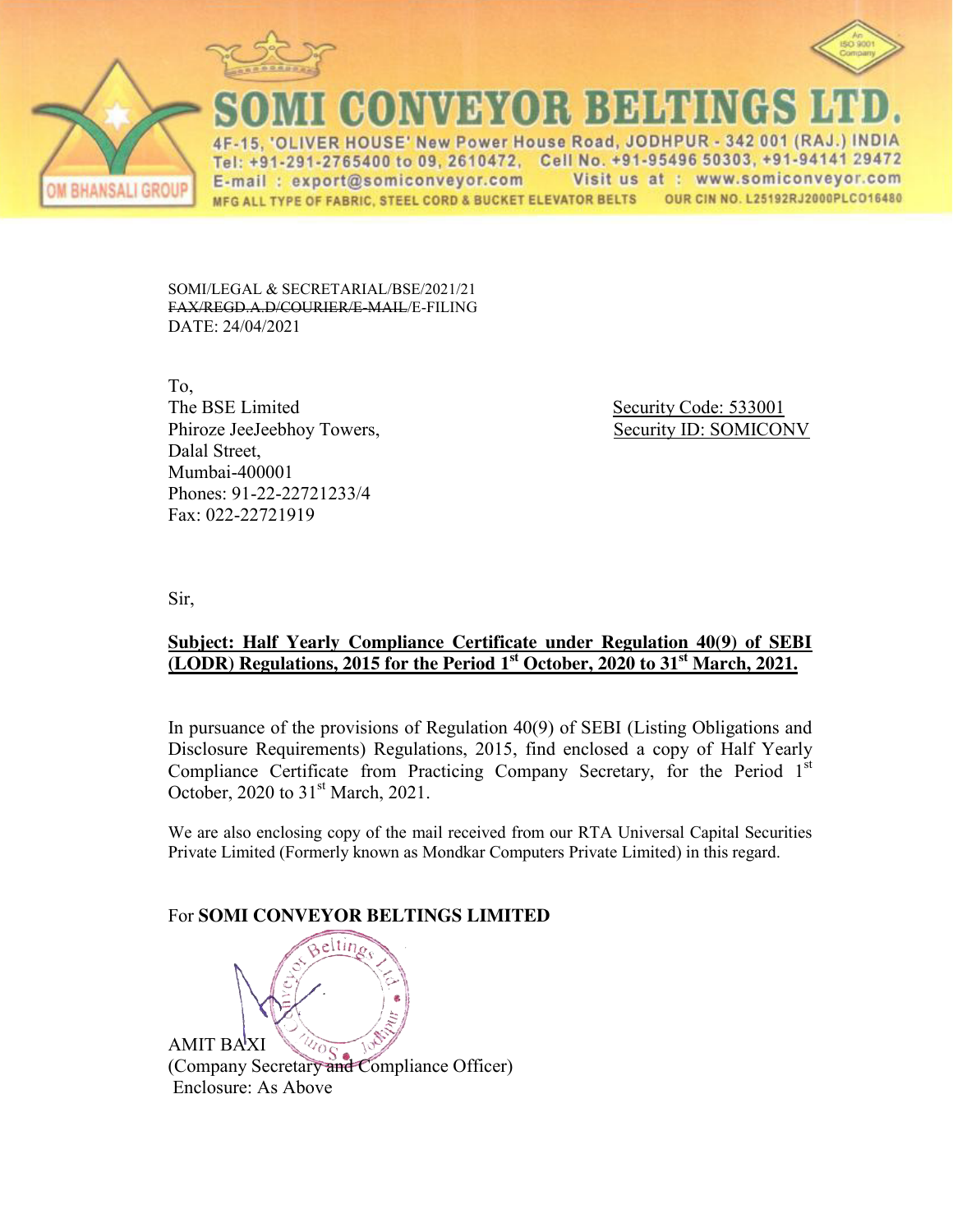



ANSALI GROU

**CONVEYOR BEHTIN** 15. 'OLIVER HOUSE' New Power House Road, JODHPUR - 342 001 (RAJ.) INDIA

Tel: +91-291-2765400 to 09, 2610472, Cell No. +91-95496 50303, +91-94141 29472 Visit us at : www.somiconveyor.com E-mail: export@somiconveyor.com MFG ALL TYPE OF FABRIC, STEEL CORD & BUCKET ELEVATOR BELTS OUR CIN NO. L25192RJ2000PLCO16480

SOMI/LEGAL & SECRETARIAL/BSE/2021/21 FAX/REGD.A.D/COURIER/E-MAIL/E-FILING DATE: 24/04/2021

To, The BSE Limited Security Code: 533001 Phiroze JeeJeebhoy Towers, Security ID: SOMICONV Dalal Street, Mumbai-400001 Phones: 91-22-22721233/4 Fax: 022-22721919

Sir,

### **Subject: Half Yearly Compliance Certificate under Regulation 40(9) of SEBI (LODR) Regulations, 2015 for the Period 1st October, 2020 to 31st March, 2021.**

In pursuance of the provisions of Regulation 40(9) of SEBI (Listing Obligations and Disclosure Requirements) Regulations, 2015, find enclosed a copy of Half Yearly Compliance Certificate from Practicing Company Secretary, for the Period  $1<sup>st</sup>$ October, 2020 to 31<sup>st</sup> March, 2021.

We are also enclosing copy of the mail received from our RTA Universal Capital Securities Private Limited (Formerly known as Mondkar Computers Private Limited) in this regard.

## For **SOMI CONVEYOR BELTINGS LIMITED**

AMIT BAXI (Company Secretary and Compliance Officer) Enclosure: As Above

eltin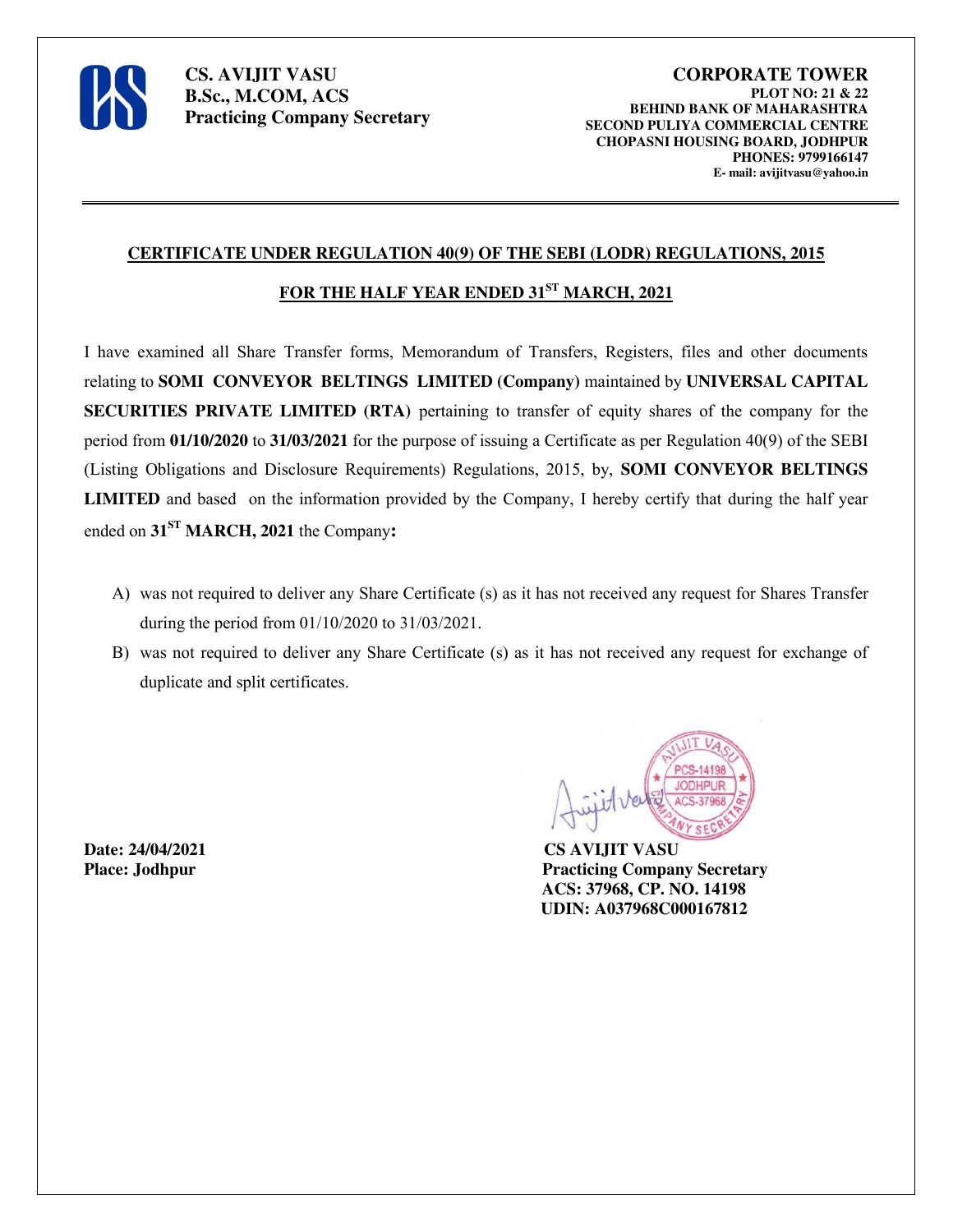

#### **CERTIFICATE UNDER REGULATION 40(9) OF THE SEBI (LODR) REGULATIONS, 2015**

## **FOR THE HALF YEAR ENDED 31ST MARCH, 2021**

I have examined all Share Transfer forms, Memorandum of Transfers, Registers, files and other documents relating to **SOMI CONVEYOR BELTINGS LIMITED (Company)** maintained by **UNIVERSAL CAPITAL SECURITIES PRIVATE LIMITED (RTA)** pertaining to transfer of equity shares of the company for the period from **01/10/2020** to **31/03/2021** for the purpose of issuing a Certificate as per Regulation 40(9) of the SEBI (Listing Obligations and Disclosure Requirements) Regulations, 2015, by, **SOMI CONVEYOR BELTINGS LIMITED** and based on the information provided by the Company, I hereby certify that during the half year ended on **31ST MARCH, 2021** the Company**:**

- A) was not required to deliver any Share Certificate (s) as it has not received any request for Shares Transfer during the period from 01/10/2020 to 31/03/2021.
- B) was not required to deliver any Share Certificate (s) as it has not received any request for exchange of duplicate and split certificates.

**Date: 24/04/2021 CS AVIJIT VASU**



**Place: Jodhpur Practicing Company Secretary ACS: 37968, CP. NO. 14198 UDIN: A037968C000167812**